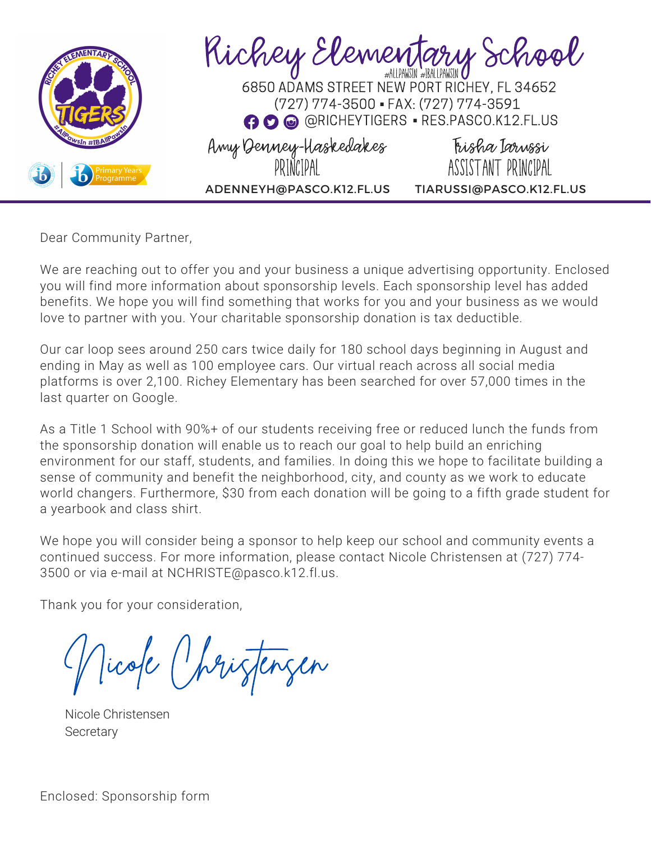

Dear Community Partner,

We are reaching out to offer you and your business a unique advertising opportunity. Enclosed you will find more information about sponsorship levels. Each sponsorship level has added benefits. We hope you will find something that works for you and your business as we would love to partner with you. Your charitable sponsorship donation is tax deductible.

Our car loop sees around 250 cars twice daily for 180 school days beginning in August and ending in May as well as 100 employee cars. Our virtual reach across all social media platforms is over 2,100. Richey Elementary has been searched for over 57,000 times in the last quarter on Google.

As a Title 1 School with 90%+ of our students receiving free or reduced lunch the funds from the sponsorship donation will enable us to reach our goal to help build an enriching environment for our staff, students, and families. In doing this we hope to facilitate building a sense of community and benefit the neighborhood, city, and county as we work to educate world changers. Furthermore, \$30 from each donation will be going to a fifth grade student for a yearbook and class shirt.

We hope you will consider being a sponsor to help keep our school and community events a continued success. For more information, please contact Nicole Christensen at (727) 774- 3500 or via e-mail at NCHRISTE@pasco.k12.fl.us.

Thank you for your consideration,

Nicole Christensen

Nicole Christensen **Secretary**